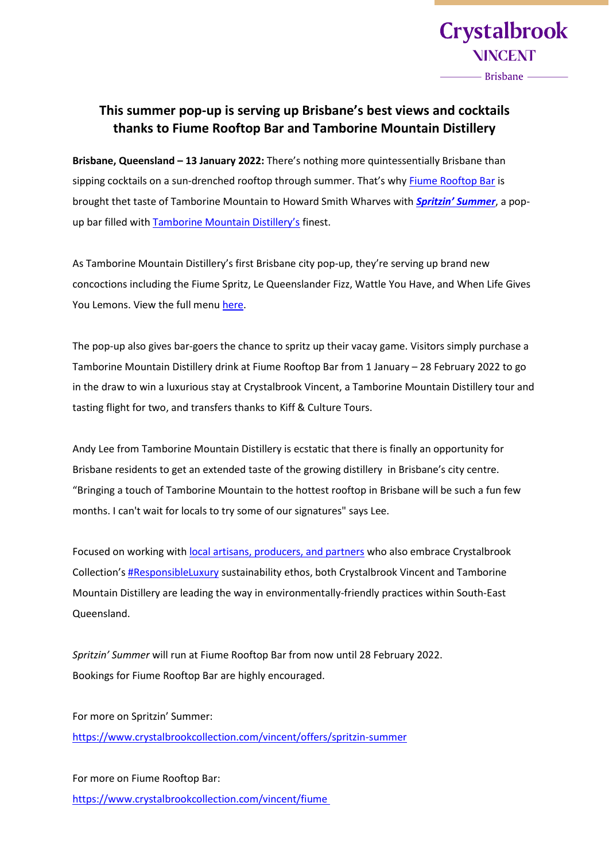

**Crystalbrook** 

**NINCENT** 

- Brisbane —

**Brisbane, Queensland – 13 January 2022:** There's nothing more quintessentially Brisbane than sipping cocktails on a sun-drenched rooftop through summer. That's why [Fiume Rooftop Bar](https://www.crystalbrookcollection.com/vincent/fiume) is brought thet taste of Tamborine Mountain to Howard Smith Wharves with *[Spritzin' Summer](https://www.crystalbrookcollection.com/vincent/offers/spritzin-summer)*, a pop-up bar filled with [Tamborine Mountain Distillery's](https://www.tamborinemountaindistillery.com/) finest.

As Tamborine Mountain Distillery's first Brisbane city pop-up, they're serving up brand new concoctions including the Fiume Spritz, Le Queenslander Fizz, Wattle You Have, and When Life Gives You Lemons. View the full men[u here.](https://d1awz198bamix0.cloudfront.net/crystalbrookcollection.com-2608238329/cms/pressroom/spritzin_summer_menu.pdf)

The pop-up also gives bar-goers the chance to spritz up their vacay game. Visitors simply purchase a Tamborine Mountain Distillery drink at Fiume Rooftop Bar from 1 January – 28 February 2022 to go in the draw to win a luxurious stay at Crystalbrook Vincent, [a Tamborine Mountain Distillery](https://www.tamborinemountaindistillery.com/) tour and tasting flight for two, and transfers thanks to [Kiff & Culture Tours.](https://kiffandculture.com.au/)

Andy Lee from Tamborine Mountain Distillery is ecstatic that there is finally an opportunity for Brisbane residents to get an extended taste of the growing distillery in Brisbane's city centre. "Bringing a touch of Tamborine Mountain to the hottest rooftop in Brisbane will be such a fun few months. I can't wait for locals to try some of our signatures" says Lee.

Focused on working with [local artisans,](https://www.crystalbrookcollection.com/vincent/more/keepin-it-local) producers, and partners who also embrace Crystalbrook Collection's **[#ResponsibleLuxury](https://www.crystalbrookcollection.com/responsible-luxury)** sustainability ethos, both Crystalbrook Vincent and Tamborine Mountain Distillery are leading the way in environmentally-friendly practices within South-East Queensland.

*Spritzin' Summer* will run at Fiume Rooftop Bar from now until 28 February 2022. Bookings for Fiume Rooftop Bar are highly encouraged.

For more on Spritzin' Summer: <https://www.crystalbrookcollection.com/vincent/offers/spritzin-summer>

For more on Fiume Rooftop Bar: <https://www.crystalbrookcollection.com/vincent/fiume>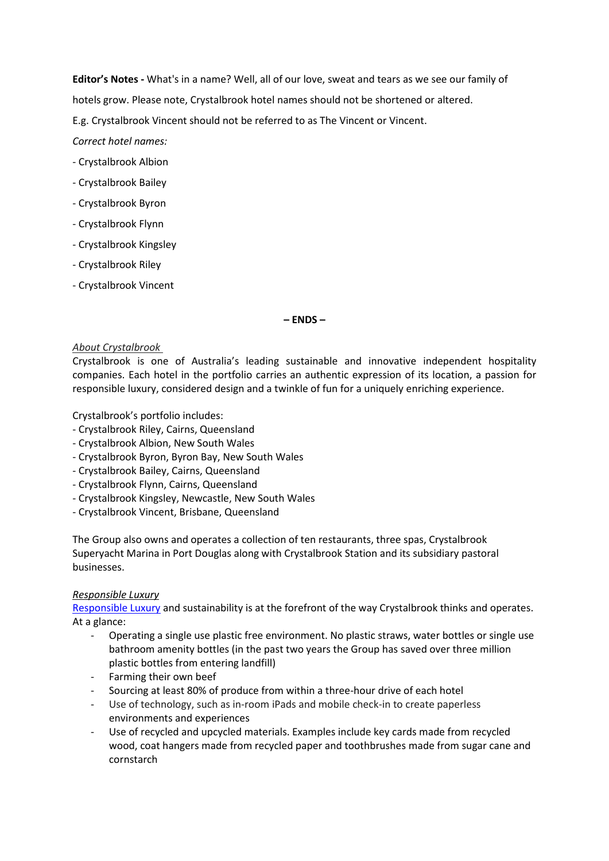**Editor's Notes -** What's in a name? Well, all of our love, sweat and tears as we see our family of hotels grow. Please note, Crystalbrook hotel names should not be shortened or altered.

E.g. Crystalbrook Vincent should not be referred to as The Vincent or Vincent.

*Correct hotel names:*

- Crystalbrook Albion
- Crystalbrook Bailey
- Crystalbrook Byron
- Crystalbrook Flynn
- Crystalbrook Kingsley
- Crystalbrook Riley
- Crystalbrook Vincent

### **– ENDS –**

### *About Crystalbrook*

Crystalbrook is one of Australia's leading sustainable and innovative independent hospitality companies. Each hotel in the portfolio carries an authentic expression of its location, a passion for responsible luxury, considered design and a twinkle of fun for a uniquely enriching experience.

Crystalbrook's portfolio includes:

- Crystalbrook Riley, Cairns, Queensland
- Crystalbrook Albion, New South Wales
- Crystalbrook Byron, Byron Bay, New South Wales
- Crystalbrook Bailey, Cairns, Queensland
- Crystalbrook Flynn, Cairns, Queensland
- Crystalbrook Kingsley, Newcastle, New South Wales
- Crystalbrook Vincent, Brisbane, Queensland

The Group also owns and operates a collection of ten restaurants, three spas, Crystalbrook Superyacht Marina in Port Douglas along with Crystalbrook Station and its subsidiary pastoral businesses.

### *Responsible Luxury*

[Responsible Luxury](https://www.crystalbrookcollection.com/responsible-luxury) and sustainability is at the forefront of the way Crystalbrook thinks and operates. At a glance:

- Operating a single use plastic free environment. No plastic straws, water bottles or single use bathroom amenity bottles (in the past two years the Group has saved over three million plastic bottles from entering landfill)
- Farming their own beef
- Sourcing at least 80% of produce from within a three-hour drive of each hotel
- Use of technology, such as in-room iPads and mobile check-in to create paperless environments and experiences
- Use of recycled and upcycled materials. Examples include key cards made from recycled wood, coat hangers made from recycled paper and toothbrushes made from sugar cane and cornstarch